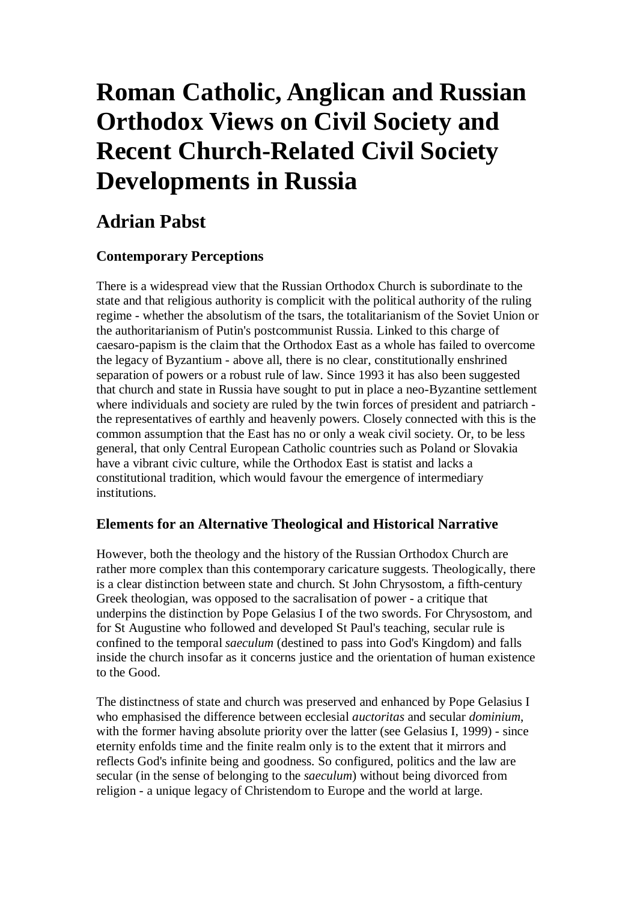# **Roman Catholic, Anglican and Russian Orthodox Views on Civil Society and Recent Church-Related Civil Society Developments in Russia**

# **Adrian Pabst**

## **Contemporary Perceptions**

There is a widespread view that the Russian Orthodox Church is subordinate to the state and that religious authority is complicit with the political authority of the ruling regime - whether the absolutism of the tsars, the totalitarianism of the Soviet Union or the authoritarianism of Putin's postcommunist Russia. Linked to this charge of caesaro-papism is the claim that the Orthodox East as a whole has failed to overcome the legacy of Byzantium - above all, there is no clear, constitutionally enshrined separation of powers or a robust rule of law. Since 1993 it has also been suggested that church and state in Russia have sought to put in place a neo-Byzantine settlement where individuals and society are ruled by the twin forces of president and patriarch the representatives of earthly and heavenly powers. Closely connected with this is the common assumption that the East has no or only a weak civil society. Or, to be less general, that only Central European Catholic countries such as Poland or Slovakia have a vibrant civic culture, while the Orthodox East is statist and lacks a constitutional tradition, which would favour the emergence of intermediary institutions.

## **Elements for an Alternative Theological and Historical Narrative**

However, both the theology and the history of the Russian Orthodox Church are rather more complex than this contemporary caricature suggests. Theologically, there is a clear distinction between state and church. St John Chrysostom, a fifth-century Greek theologian, was opposed to the sacralisation of power - a critique that underpins the distinction by Pope Gelasius I of the two swords. For Chrysostom, and for St Augustine who followed and developed St Paul's teaching, secular rule is confined to the temporal *saeculum* (destined to pass into God's Kingdom) and falls inside the church insofar as it concerns justice and the orientation of human existence to the Good.

The distinctness of state and church was preserved and enhanced by Pope Gelasius I who emphasised the difference between ecclesial *auctoritas* and secular *dominium*, with the former having absolute priority over the latter (see Gelasius I, 1999) - since eternity enfolds time and the finite realm only is to the extent that it mirrors and reflects God's infinite being and goodness. So configured, politics and the law are secular (in the sense of belonging to the *saeculum*) without being divorced from religion - a unique legacy of Christendom to Europe and the world at large.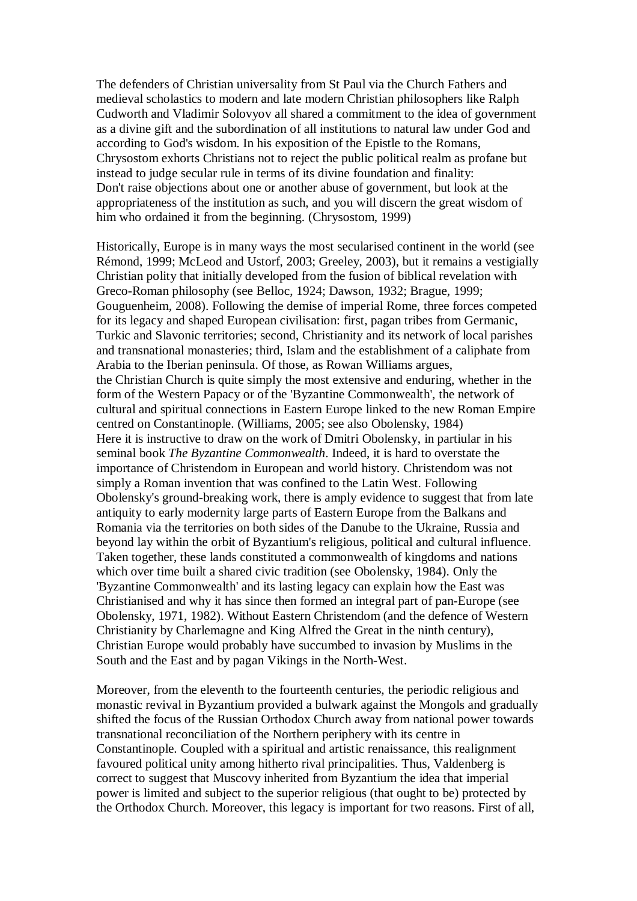The defenders of Christian universality from St Paul via the Church Fathers and medieval scholastics to modern and late modern Christian philosophers like Ralph Cudworth and Vladimir Solovyov all shared a commitment to the idea of government as a divine gift and the subordination of all institutions to natural law under God and according to God's wisdom. In his exposition of the Epistle to the Romans, Chrysostom exhorts Christians not to reject the public political realm as profane but instead to judge secular rule in terms of its divine foundation and finality: Don't raise objections about one or another abuse of government, but look at the appropriateness of the institution as such, and you will discern the great wisdom of him who ordained it from the beginning. (Chrysostom, 1999)

Historically, Europe is in many ways the most secularised continent in the world (see Rémond, 1999; McLeod and Ustorf, 2003; Greeley, 2003), but it remains a vestigially Christian polity that initially developed from the fusion of biblical revelation with Greco-Roman philosophy (see Belloc, 1924; Dawson, 1932; Brague, 1999; Gouguenheim, 2008). Following the demise of imperial Rome, three forces competed for its legacy and shaped European civilisation: first, pagan tribes from Germanic, Turkic and Slavonic territories; second, Christianity and its network of local parishes and transnational monasteries; third, Islam and the establishment of a caliphate from Arabia to the Iberian peninsula. Of those, as Rowan Williams argues, the Christian Church is quite simply the most extensive and enduring, whether in the form of the Western Papacy or of the 'Byzantine Commonwealth', the network of cultural and spiritual connections in Eastern Europe linked to the new Roman Empire centred on Constantinople. (Williams, 2005; see also Obolensky, 1984) Here it is instructive to draw on the work of Dmitri Obolensky, in partiular in his seminal book *The Byzantine Commonwealth*. Indeed, it is hard to overstate the importance of Christendom in European and world history. Christendom was not simply a Roman invention that was confined to the Latin West. Following Obolensky's ground-breaking work, there is amply evidence to suggest that from late antiquity to early modernity large parts of Eastern Europe from the Balkans and Romania via the territories on both sides of the Danube to the Ukraine, Russia and beyond lay within the orbit of Byzantium's religious, political and cultural influence. Taken together, these lands constituted a commonwealth of kingdoms and nations which over time built a shared civic tradition (see Obolensky, 1984). Only the 'Byzantine Commonwealth' and its lasting legacy can explain how the East was Christianised and why it has since then formed an integral part of pan-Europe (see Obolensky, 1971, 1982). Without Eastern Christendom (and the defence of Western Christianity by Charlemagne and King Alfred the Great in the ninth century), Christian Europe would probably have succumbed to invasion by Muslims in the South and the East and by pagan Vikings in the North-West.

Moreover, from the eleventh to the fourteenth centuries, the periodic religious and monastic revival in Byzantium provided a bulwark against the Mongols and gradually shifted the focus of the Russian Orthodox Church away from national power towards transnational reconciliation of the Northern periphery with its centre in Constantinople. Coupled with a spiritual and artistic renaissance, this realignment favoured political unity among hitherto rival principalities. Thus, Valdenberg is correct to suggest that Muscovy inherited from Byzantium the idea that imperial power is limited and subject to the superior religious (that ought to be) protected by the Orthodox Church. Moreover, this legacy is important for two reasons. First of all,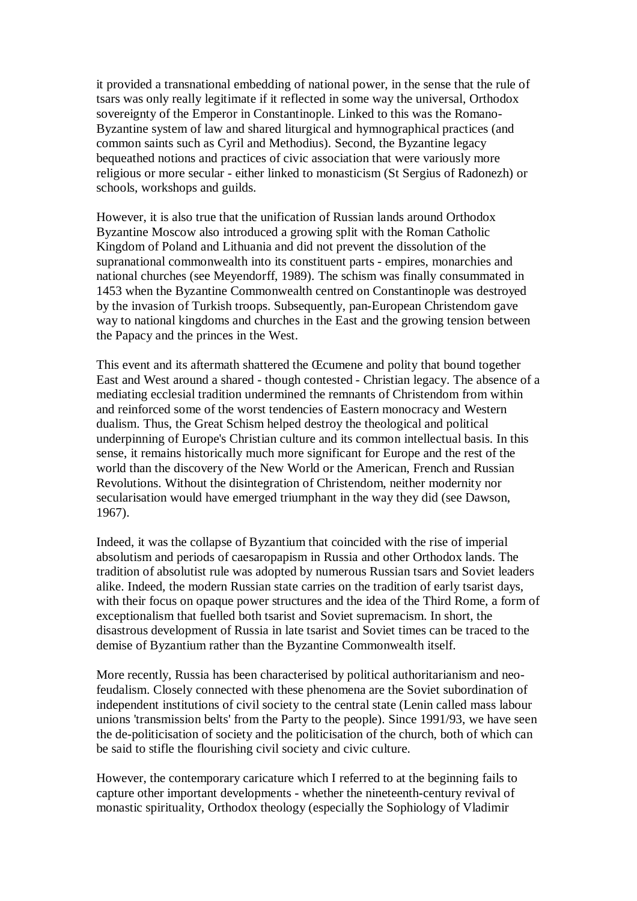it provided a transnational embedding of national power, in the sense that the rule of tsars was only really legitimate if it reflected in some way the universal, Orthodox sovereignty of the Emperor in Constantinople. Linked to this was the Romano-Byzantine system of law and shared liturgical and hymnographical practices (and common saints such as Cyril and Methodius). Second, the Byzantine legacy bequeathed notions and practices of civic association that were variously more religious or more secular - either linked to monasticism (St Sergius of Radonezh) or schools, workshops and guilds.

However, it is also true that the unification of Russian lands around Orthodox Byzantine Moscow also introduced a growing split with the Roman Catholic Kingdom of Poland and Lithuania and did not prevent the dissolution of the supranational commonwealth into its constituent parts - empires, monarchies and national churches (see Meyendorff, 1989). The schism was finally consummated in 1453 when the Byzantine Commonwealth centred on Constantinople was destroyed by the invasion of Turkish troops. Subsequently, pan-European Christendom gave way to national kingdoms and churches in the East and the growing tension between the Papacy and the princes in the West.

This event and its aftermath shattered the Œcumene and polity that bound together East and West around a shared - though contested - Christian legacy. The absence of a mediating ecclesial tradition undermined the remnants of Christendom from within and reinforced some of the worst tendencies of Eastern monocracy and Western dualism. Thus, the Great Schism helped destroy the theological and political underpinning of Europe's Christian culture and its common intellectual basis. In this sense, it remains historically much more significant for Europe and the rest of the world than the discovery of the New World or the American, French and Russian Revolutions. Without the disintegration of Christendom, neither modernity nor secularisation would have emerged triumphant in the way they did (see Dawson, 1967).

Indeed, it was the collapse of Byzantium that coincided with the rise of imperial absolutism and periods of caesaropapism in Russia and other Orthodox lands. The tradition of absolutist rule was adopted by numerous Russian tsars and Soviet leaders alike. Indeed, the modern Russian state carries on the tradition of early tsarist days, with their focus on opaque power structures and the idea of the Third Rome, a form of exceptionalism that fuelled both tsarist and Soviet supremacism. In short, the disastrous development of Russia in late tsarist and Soviet times can be traced to the demise of Byzantium rather than the Byzantine Commonwealth itself.

More recently, Russia has been characterised by political authoritarianism and neofeudalism. Closely connected with these phenomena are the Soviet subordination of independent institutions of civil society to the central state (Lenin called mass labour unions 'transmission belts' from the Party to the people). Since 1991/93, we have seen the de-politicisation of society and the politicisation of the church, both of which can be said to stifle the flourishing civil society and civic culture.

However, the contemporary caricature which I referred to at the beginning fails to capture other important developments - whether the nineteenth-century revival of monastic spirituality, Orthodox theology (especially the Sophiology of Vladimir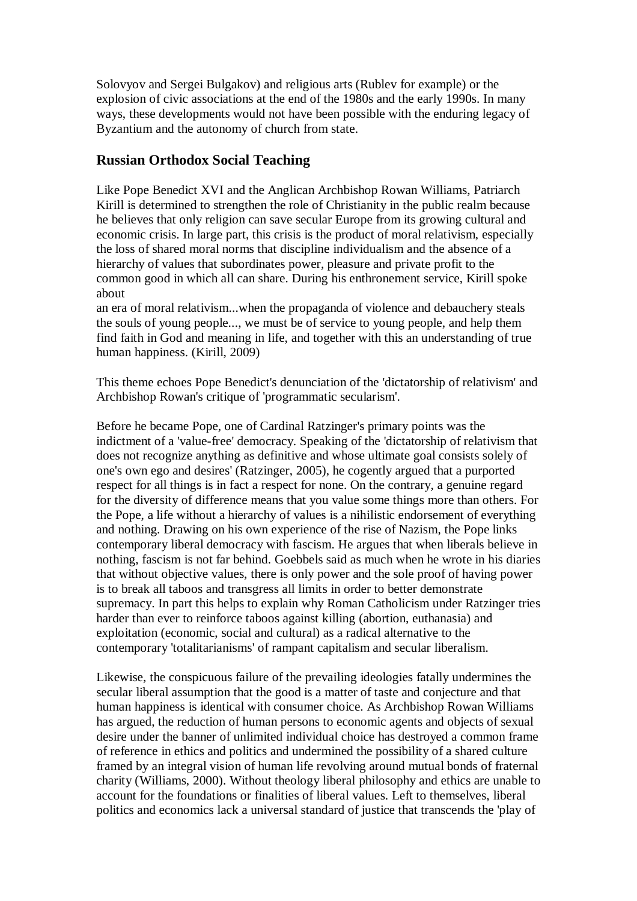Solovyov and Sergei Bulgakov) and religious arts (Rublev for example) or the explosion of civic associations at the end of the 1980s and the early 1990s. In many ways, these developments would not have been possible with the enduring legacy of Byzantium and the autonomy of church from state.

#### **Russian Orthodox Social Teaching**

Like Pope Benedict XVI and the Anglican Archbishop Rowan Williams, Patriarch Kirill is determined to strengthen the role of Christianity in the public realm because he believes that only religion can save secular Europe from its growing cultural and economic crisis. In large part, this crisis is the product of moral relativism, especially the loss of shared moral norms that discipline individualism and the absence of a hierarchy of values that subordinates power, pleasure and private profit to the common good in which all can share. During his enthronement service, Kirill spoke about

an era of moral relativism...when the propaganda of violence and debauchery steals the souls of young people..., we must be of service to young people, and help them find faith in God and meaning in life, and together with this an understanding of true human happiness. (Kirill, 2009)

This theme echoes Pope Benedict's denunciation of the 'dictatorship of relativism' and Archbishop Rowan's critique of 'programmatic secularism'.

Before he became Pope, one of Cardinal Ratzinger's primary points was the indictment of a 'value-free' democracy. Speaking of the 'dictatorship of relativism that does not recognize anything as definitive and whose ultimate goal consists solely of one's own ego and desires' (Ratzinger, 2005), he cogently argued that a purported respect for all things is in fact a respect for none. On the contrary, a genuine regard for the diversity of difference means that you value some things more than others. For the Pope, a life without a hierarchy of values is a nihilistic endorsement of everything and nothing. Drawing on his own experience of the rise of Nazism, the Pope links contemporary liberal democracy with fascism. He argues that when liberals believe in nothing, fascism is not far behind. Goebbels said as much when he wrote in his diaries that without objective values, there is only power and the sole proof of having power is to break all taboos and transgress all limits in order to better demonstrate supremacy. In part this helps to explain why Roman Catholicism under Ratzinger tries harder than ever to reinforce taboos against killing (abortion, euthanasia) and exploitation (economic, social and cultural) as a radical alternative to the contemporary 'totalitarianisms' of rampant capitalism and secular liberalism.

Likewise, the conspicuous failure of the prevailing ideologies fatally undermines the secular liberal assumption that the good is a matter of taste and conjecture and that human happiness is identical with consumer choice. As Archbishop Rowan Williams has argued, the reduction of human persons to economic agents and objects of sexual desire under the banner of unlimited individual choice has destroyed a common frame of reference in ethics and politics and undermined the possibility of a shared culture framed by an integral vision of human life revolving around mutual bonds of fraternal charity (Williams, 2000). Without theology liberal philosophy and ethics are unable to account for the foundations or finalities of liberal values. Left to themselves, liberal politics and economics lack a universal standard of justice that transcends the 'play of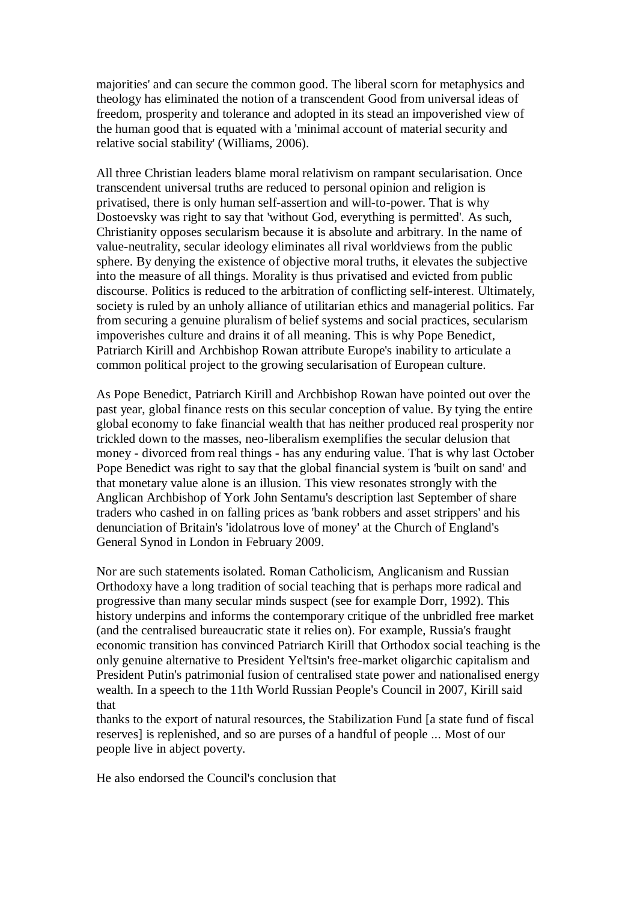majorities' and can secure the common good. The liberal scorn for metaphysics and theology has eliminated the notion of a transcendent Good from universal ideas of freedom, prosperity and tolerance and adopted in its stead an impoverished view of the human good that is equated with a 'minimal account of material security and relative social stability' (Williams, 2006).

All three Christian leaders blame moral relativism on rampant secularisation. Once transcendent universal truths are reduced to personal opinion and religion is privatised, there is only human self-assertion and will-to-power. That is why Dostoevsky was right to say that 'without God, everything is permitted'. As such, Christianity opposes secularism because it is absolute and arbitrary. In the name of value-neutrality, secular ideology eliminates all rival worldviews from the public sphere. By denying the existence of objective moral truths, it elevates the subjective into the measure of all things. Morality is thus privatised and evicted from public discourse. Politics is reduced to the arbitration of conflicting self-interest. Ultimately, society is ruled by an unholy alliance of utilitarian ethics and managerial politics. Far from securing a genuine pluralism of belief systems and social practices, secularism impoverishes culture and drains it of all meaning. This is why Pope Benedict, Patriarch Kirill and Archbishop Rowan attribute Europe's inability to articulate a common political project to the growing secularisation of European culture.

As Pope Benedict, Patriarch Kirill and Archbishop Rowan have pointed out over the past year, global finance rests on this secular conception of value. By tying the entire global economy to fake financial wealth that has neither produced real prosperity nor trickled down to the masses, neo-liberalism exemplifies the secular delusion that money - divorced from real things - has any enduring value. That is why last October Pope Benedict was right to say that the global financial system is 'built on sand' and that monetary value alone is an illusion. This view resonates strongly with the Anglican Archbishop of York John Sentamu's description last September of share traders who cashed in on falling prices as 'bank robbers and asset strippers' and his denunciation of Britain's 'idolatrous love of money' at the Church of England's General Synod in London in February 2009.

Nor are such statements isolated. Roman Catholicism, Anglicanism and Russian Orthodoxy have a long tradition of social teaching that is perhaps more radical and progressive than many secular minds suspect (see for example Dorr, 1992). This history underpins and informs the contemporary critique of the unbridled free market (and the centralised bureaucratic state it relies on). For example, Russia's fraught economic transition has convinced Patriarch Kirill that Orthodox social teaching is the only genuine alternative to President Yel'tsin's free-market oligarchic capitalism and President Putin's patrimonial fusion of centralised state power and nationalised energy wealth. In a speech to the 11th World Russian People's Council in 2007, Kirill said that

thanks to the export of natural resources, the Stabilization Fund [a state fund of fiscal reserves] is replenished, and so are purses of a handful of people ... Most of our people live in abject poverty.

He also endorsed the Council's conclusion that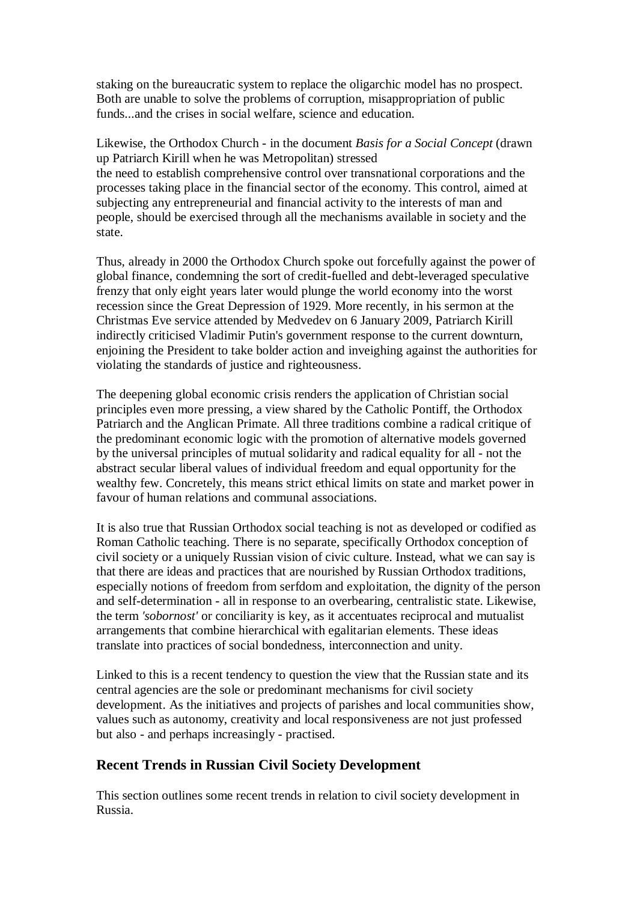staking on the bureaucratic system to replace the oligarchic model has no prospect. Both are unable to solve the problems of corruption, misappropriation of public funds...and the crises in social welfare, science and education.

Likewise, the Orthodox Church - in the document *Basis for a Social Concept* (drawn up Patriarch Kirill when he was Metropolitan) stressed the need to establish comprehensive control over transnational corporations and the processes taking place in the financial sector of the economy. This control, aimed at subjecting any entrepreneurial and financial activity to the interests of man and people, should be exercised through all the mechanisms available in society and the state.

Thus, already in 2000 the Orthodox Church spoke out forcefully against the power of global finance, condemning the sort of credit-fuelled and debt-leveraged speculative frenzy that only eight years later would plunge the world economy into the worst recession since the Great Depression of 1929. More recently, in his sermon at the Christmas Eve service attended by Medvedev on 6 January 2009, Patriarch Kirill indirectly criticised Vladimir Putin's government response to the current downturn, enjoining the President to take bolder action and inveighing against the authorities for violating the standards of justice and righteousness.

The deepening global economic crisis renders the application of Christian social principles even more pressing, a view shared by the Catholic Pontiff, the Orthodox Patriarch and the Anglican Primate. All three traditions combine a radical critique of the predominant economic logic with the promotion of alternative models governed by the universal principles of mutual solidarity and radical equality for all - not the abstract secular liberal values of individual freedom and equal opportunity for the wealthy few. Concretely, this means strict ethical limits on state and market power in favour of human relations and communal associations.

It is also true that Russian Orthodox social teaching is not as developed or codified as Roman Catholic teaching. There is no separate, specifically Orthodox conception of civil society or a uniquely Russian vision of civic culture. Instead, what we can say is that there are ideas and practices that are nourished by Russian Orthodox traditions, especially notions of freedom from serfdom and exploitation, the dignity of the person and self-determination - all in response to an overbearing, centralistic state. Likewise, the term *'sobornost'* or conciliarity is key, as it accentuates reciprocal and mutualist arrangements that combine hierarchical with egalitarian elements. These ideas translate into practices of social bondedness, interconnection and unity.

Linked to this is a recent tendency to question the view that the Russian state and its central agencies are the sole or predominant mechanisms for civil society development. As the initiatives and projects of parishes and local communities show, values such as autonomy, creativity and local responsiveness are not just professed but also - and perhaps increasingly - practised.

#### **Recent Trends in Russian Civil Society Development**

This section outlines some recent trends in relation to civil society development in Russia.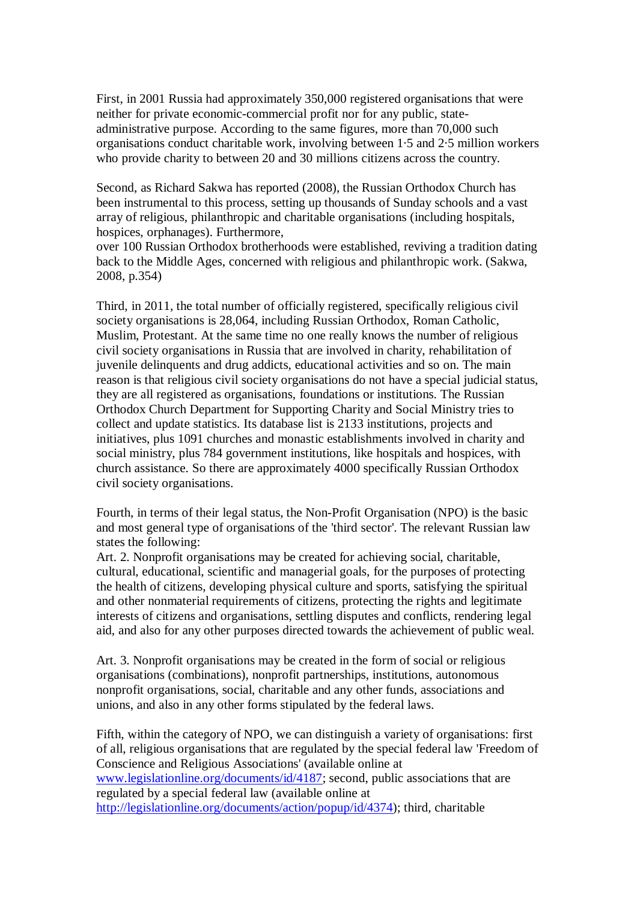First, in 2001 Russia had approximately 350,000 registered organisations that were neither for private economic-commercial profit nor for any public, stateadministrative purpose. According to the same figures, more than 70,000 such organisations conduct charitable work, involving between 1·5 and 2·5 million workers who provide charity to between 20 and 30 millions citizens across the country.

Second, as Richard Sakwa has reported (2008), the Russian Orthodox Church has been instrumental to this process, setting up thousands of Sunday schools and a vast array of religious, philanthropic and charitable organisations (including hospitals, hospices, orphanages). Furthermore,

over 100 Russian Orthodox brotherhoods were established, reviving a tradition dating back to the Middle Ages, concerned with religious and philanthropic work. (Sakwa, 2008, p.354)

Third, in 2011, the total number of officially registered, specifically religious civil society organisations is 28,064, including Russian Orthodox, Roman Catholic, Muslim, Protestant. At the same time no one really knows the number of religious civil society organisations in Russia that are involved in charity, rehabilitation of juvenile delinquents and drug addicts, educational activities and so on. The main reason is that religious civil society organisations do not have a special judicial status, they are all registered as organisations, foundations or institutions. The Russian Orthodox Church Department for Supporting Charity and Social Ministry tries to collect and update statistics. Its database list is 2133 institutions, projects and initiatives, plus 1091 churches and monastic establishments involved in charity and social ministry, plus 784 government institutions, like hospitals and hospices, with church assistance. So there are approximately 4000 specifically Russian Orthodox civil society organisations.

Fourth, in terms of their legal status, the Non-Profit Organisation (NPO) is the basic and most general type of organisations of the 'third sector'. The relevant Russian law states the following:

Art. 2. Nonprofit organisations may be created for achieving social, charitable, cultural, educational, scientific and managerial goals, for the purposes of protecting the health of citizens, developing physical culture and sports, satisfying the spiritual and other nonmaterial requirements of citizens, protecting the rights and legitimate interests of citizens and organisations, settling disputes and conflicts, rendering legal aid, and also for any other purposes directed towards the achievement of public weal.

Art. 3. Nonprofit organisations may be created in the form of social or religious organisations (combinations), nonprofit partnerships, institutions, autonomous nonprofit organisations, social, charitable and any other funds, associations and unions, and also in any other forms stipulated by the federal laws.

Fifth, within the category of NPO, we can distinguish a variety of organisations: first of all, religious organisations that are regulated by the special federal law 'Freedom of Conscience and Religious Associations' (available online at www.legislationline.org/documents/id/4187; second, public associations that are regulated by a special federal law (available online at http://legislationline.org/documents/action/popup/id/4374); third, charitable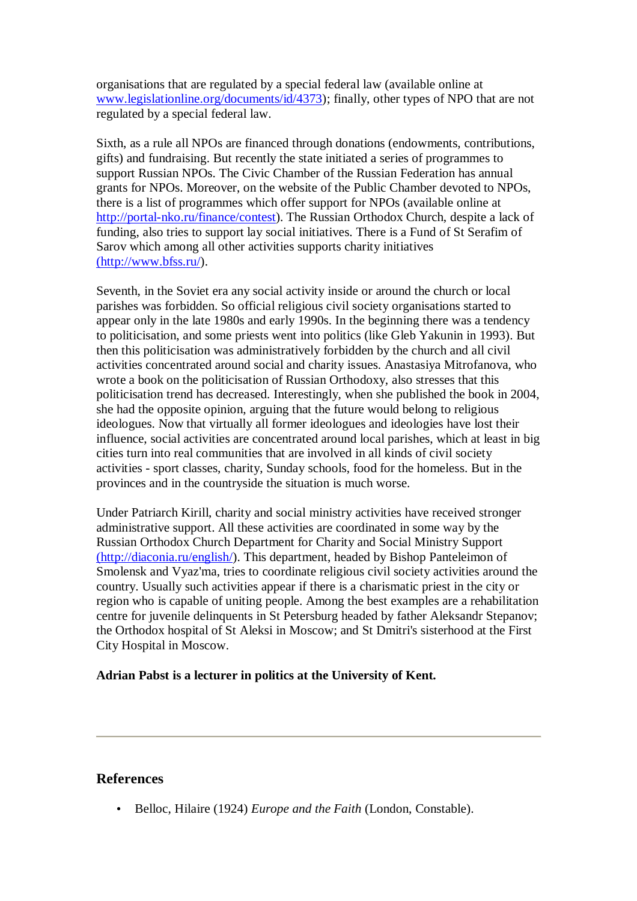organisations that are regulated by a special federal law (available online at www.legislationline.org/documents/id/4373); finally, other types of NPO that are not regulated by a special federal law.

Sixth, as a rule all NPOs are financed through donations (endowments, contributions, gifts) and fundraising. But recently the state initiated a series of programmes to support Russian NPOs. The Civic Chamber of the Russian Federation has annual grants for NPOs. Moreover, on the website of the Public Chamber devoted to NPOs, there is a list of programmes which offer support for NPOs (available online at http://portal-nko.ru/finance/contest). The Russian Orthodox Church, despite a lack of funding, also tries to support lay social initiatives. There is a Fund of St Serafim of Sarov which among all other activities supports charity initiatives (http://www.bfss.ru/).

Seventh, in the Soviet era any social activity inside or around the church or local parishes was forbidden. So official religious civil society organisations started to appear only in the late 1980s and early 1990s. In the beginning there was a tendency to politicisation, and some priests went into politics (like Gleb Yakunin in 1993). But then this politicisation was administratively forbidden by the church and all civil activities concentrated around social and charity issues. Anastasiya Mitrofanova, who wrote a book on the politicisation of Russian Orthodoxy, also stresses that this politicisation trend has decreased. Interestingly, when she published the book in 2004, she had the opposite opinion, arguing that the future would belong to religious ideologues. Now that virtually all former ideologues and ideologies have lost their influence, social activities are concentrated around local parishes, which at least in big cities turn into real communities that are involved in all kinds of civil society activities - sport classes, charity, Sunday schools, food for the homeless. But in the provinces and in the countryside the situation is much worse.

Under Patriarch Kirill, charity and social ministry activities have received stronger administrative support. All these activities are coordinated in some way by the Russian Orthodox Church Department for Charity and Social Ministry Support (http://diaconia.ru/english/). This department, headed by Bishop Panteleimon of Smolensk and Vyaz'ma, tries to coordinate religious civil society activities around the country. Usually such activities appear if there is a charismatic priest in the city or region who is capable of uniting people. Among the best examples are a rehabilitation centre for juvenile delinquents in St Petersburg headed by father Aleksandr Stepanov; the Orthodox hospital of St Aleksi in Moscow; and St Dmitri's sisterhood at the First City Hospital in Moscow.

#### **Adrian Pabst is a lecturer in politics at the University of Kent.**

#### **References**

• Belloc, Hilaire (1924) *Europe and the Faith* (London, Constable).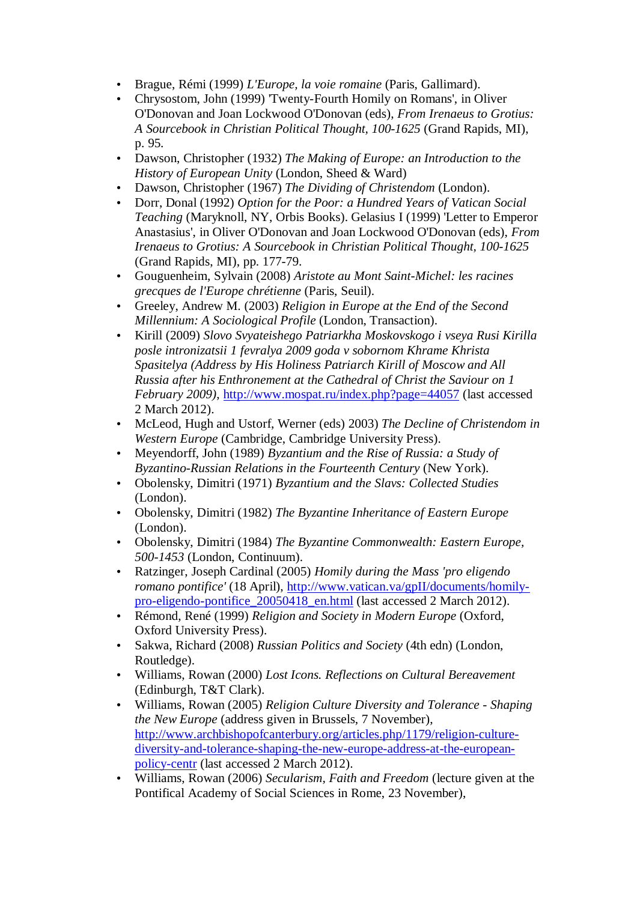- Brague, Rémi (1999) *L'Europe, la voie romaine* (Paris, Gallimard).
- Chrysostom, John (1999) 'Twenty-Fourth Homily on Romans', in Oliver O'Donovan and Joan Lockwood O'Donovan (eds), *From Irenaeus to Grotius: A Sourcebook in Christian Political Thought, 100-1625* (Grand Rapids, MI), p. 95.
- Dawson, Christopher (1932) *The Making of Europe: an Introduction to the History of European Unity* (London, Sheed & Ward)
- Dawson, Christopher (1967) *The Dividing of Christendom* (London).
- Dorr, Donal (1992) *Option for the Poor: a Hundred Years of Vatican Social Teaching* (Maryknoll, NY, Orbis Books). Gelasius I (1999) 'Letter to Emperor Anastasius', in Oliver O'Donovan and Joan Lockwood O'Donovan (eds), *From Irenaeus to Grotius: A Sourcebook in Christian Political Thought, 100-1625* (Grand Rapids, MI), pp. 177-79.
- Gouguenheim, Sylvain (2008) *Aristote au Mont Saint-Michel: les racines grecques de l'Europe chrétienne* (Paris, Seuil).
- Greeley, Andrew M. (2003) *Religion in Europe at the End of the Second Millennium: A Sociological Profile* (London, Transaction).
- Kirill (2009) *Slovo Svyateishego Patriarkha Moskovskogo i vseya Rusi Kirilla posle intronizatsii 1 fevralya 2009 goda v sobornom Khrame Khrista Spasitelya (Address by His Holiness Patriarch Kirill of Moscow and All Russia after his Enthronement at the Cathedral of Christ the Saviour on 1 February 2009)*, http://www.mospat.ru/index.php?page=44057 (last accessed 2 March 2012).
- McLeod, Hugh and Ustorf, Werner (eds) 2003) *The Decline of Christendom in Western Europe* (Cambridge, Cambridge University Press).
- Meyendorff, John (1989) *Byzantium and the Rise of Russia: a Study of Byzantino-Russian Relations in the Fourteenth Century* (New York).
- Obolensky, Dimitri (1971) *Byzantium and the Slavs: Collected Studies* (London).
- Obolensky, Dimitri (1982) *The Byzantine Inheritance of Eastern Europe* (London).
- Obolensky, Dimitri (1984) *The Byzantine Commonwealth: Eastern Europe, 500-1453* (London, Continuum).
- Ratzinger, Joseph Cardinal (2005) *Homily during the Mass 'pro eligendo romano pontifice'* (18 April), http://www.vatican.va/gpII/documents/homilypro-eligendo-pontifice\_20050418\_en.html (last accessed 2 March 2012).
- Rémond, René (1999) *Religion and Society in Modern Europe* (Oxford, Oxford University Press).
- Sakwa, Richard (2008) *Russian Politics and Society* (4th edn) (London, Routledge).
- Williams, Rowan (2000) *Lost Icons. Reflections on Cultural Bereavement* (Edinburgh, T&T Clark).
- Williams, Rowan (2005) *Religion Culture Diversity and Tolerance Shaping the New Europe* (address given in Brussels, 7 November), http://www.archbishopofcanterbury.org/articles.php/1179/religion-culturediversity-and-tolerance-shaping-the-new-europe-address-at-the-europeanpolicy-centr (last accessed 2 March 2012).
- Williams, Rowan (2006) *Secularism, Faith and Freedom* (lecture given at the Pontifical Academy of Social Sciences in Rome, 23 November),